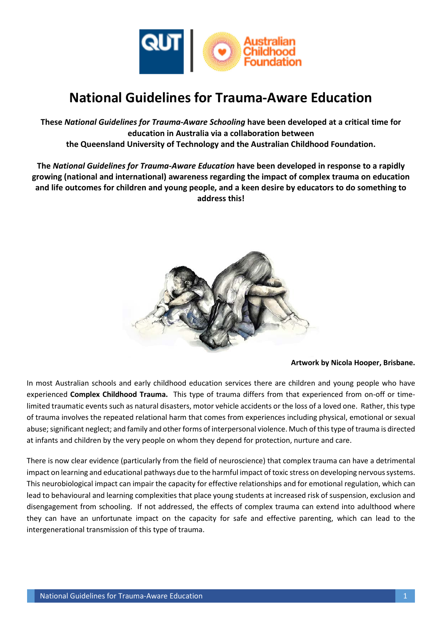

### **National Guidelines for Trauma-Aware Education**

**These** *National Guidelines for Trauma-Aware Schooling* **have been developed at a critical time for education in Australia via a collaboration between the Queensland University of Technology and the Australian Childhood Foundation.**

**The** *National Guidelines for Trauma-Aware Education* **have been developed in response to a rapidly growing (national and international) awareness regarding the impact of complex trauma on education and life outcomes for children and young people, and a keen desire by educators to do something to address this!**



#### **Artwork by Nicola Hooper, Brisbane.**

In most Australian schools and early childhood education services there are children and young people who have experienced **Complex Childhood Trauma.** This type of trauma differs from that experienced from on-off or timelimited traumatic events such as natural disasters, motor vehicle accidents or the loss of a loved one. Rather, this type of trauma involves the repeated relational harm that comes from experiences including physical, emotional or sexual abuse; significant neglect; and family and other forms of interpersonal violence. Much of this type of trauma is directed at infants and children by the very people on whom they depend for protection, nurture and care.

There is now clear evidence (particularly from the field of neuroscience) that complex trauma can have a detrimental impact on learning and educational pathways due to the harmful impact of toxic stress on developing nervous systems. This neurobiological impact can impair the capacity for effective relationships and for emotional regulation, which can lead to behavioural and learning complexities that place young students at increased risk of suspension, exclusion and disengagement from schooling. If not addressed, the effects of complex trauma can extend into adulthood where they can have an unfortunate impact on the capacity for safe and effective parenting, which can lead to the intergenerational transmission of this type of trauma.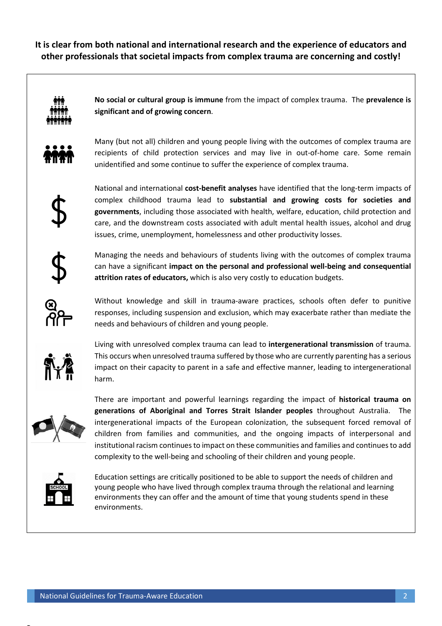**It is clear from both national and international research and the experience of educators and other professionals that societal impacts from complex trauma are concerning and costly!**



**No social or cultural group is immune** from the impact of complex trauma. The **prevalence is significant and of growing concern**.



Many (but not all) children and young people living with the outcomes of complex trauma are recipients of child protection services and may live in out-of-home care. Some remain unidentified and some continue to suffer the experience of complex trauma.



National and international **cost-benefit analyses** have identified that the long-term impacts of complex childhood trauma lead to **substantial and growing costs for societies and governments**, including those associated with health, welfare, education, child protection and care, and the downstream costs associated with adult mental health issues, alcohol and drug issues, crime, unemployment, homelessness and other productivity losses.

Managing the needs and behaviours of students living with the outcomes of complex trauma can have a significant **impact on the personal and professional well-being and consequential attrition rates of educators,** which is also very costly to education budgets.



Without knowledge and skill in trauma-aware practices, schools often defer to punitive responses, including suspension and exclusion, which may exacerbate rather than mediate the needs and behaviours of children and young people.



Living with unresolved complex trauma can lead to **intergenerational transmission** of trauma. This occurs when unresolved trauma suffered by those who are currently parenting has a serious impact on their capacity to parent in a safe and effective manner, leading to intergenerational harm.



There are important and powerful learnings regarding the impact of **historical trauma on generations of Aboriginal and Torres Strait Islander peoples** throughout Australia. The intergenerational impacts of the European colonization, the subsequent forced removal of children from families and communities, and the ongoing impacts of interpersonal and institutional racism continues to impact on these communities and families and continues to add complexity to the well-being and schooling of their children and young people.



 $\overline{\phantom{a}}$ 

Education settings are critically positioned to be able to support the needs of children and young people who have lived through complex trauma through the relational and learning environments they can offer and the amount of time that young students spend in these environments.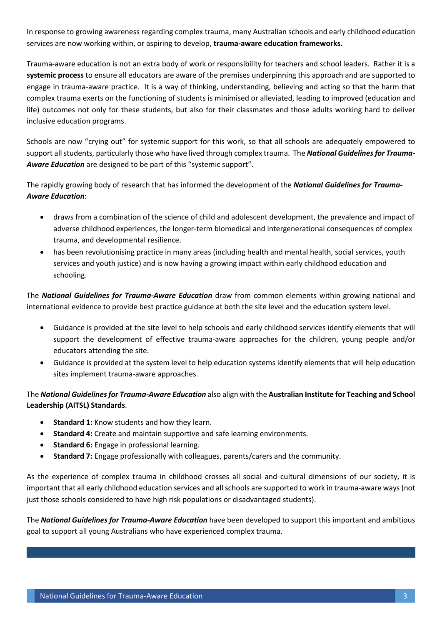In response to growing awareness regarding complex trauma, many Australian schools and early childhood education services are now working within, or aspiring to develop, **trauma-aware education frameworks.** 

Trauma-aware education is not an extra body of work or responsibility for teachers and school leaders. Rather it is a **systemic process** to ensure all educators are aware of the premises underpinning this approach and are supported to engage in trauma-aware practice. It is a way of thinking, understanding, believing and acting so that the harm that complex trauma exerts on the functioning of students is minimised or alleviated, leading to improved (education and life) outcomes not only for these students, but also for their classmates and those adults working hard to deliver inclusive education programs.

Schools are now "crying out" for systemic support for this work, so that all schools are adequately empowered to support all students, particularly those who have lived through complex trauma. The *National Guidelines for Trauma-Aware Education* are designed to be part of this "systemic support".

The rapidly growing body of research that has informed the development of the *National Guidelines for Trauma-Aware Education*:

- draws from a combination of the science of child and adolescent development, the prevalence and impact of adverse childhood experiences, the longer-term biomedical and intergenerational consequences of complex trauma, and developmental resilience.
- has been revolutionising practice in many areas (including health and mental health, social services, youth services and youth justice) and is now having a growing impact within early childhood education and schooling.

The *National Guidelines for Trauma-Aware Education* draw from common elements within growing national and international evidence to provide best practice guidance at both the site level and the education system level.

- Guidance is provided at the site level to help schools and early childhood services identify elements that will support the development of effective trauma-aware approaches for the children, young people and/or educators attending the site.
- Guidance is provided at the system level to help education systems identify elements that will help education sites implement trauma-aware approaches.

#### The *National Guidelines for Trauma-Aware Education* also align with the **Australian Institute for Teaching and School Leadership (AITSL) Standards**.

- **Standard 1:** Know students and how they learn.
- **Standard 4:** Create and maintain supportive and safe learning environments.
- **Standard 6:** Engage in professional learning.
- **Standard 7:** Engage professionally with colleagues, parents/carers and the community.

As the experience of complex trauma in childhood crosses all social and cultural dimensions of our society, it is important that all early childhood education services and all schools are supported to work in trauma-aware ways (not just those schools considered to have high risk populations or disadvantaged students).

The *National Guidelines for Trauma-Aware Education* have been developed to support this important and ambitious goal to support all young Australians who have experienced complex trauma.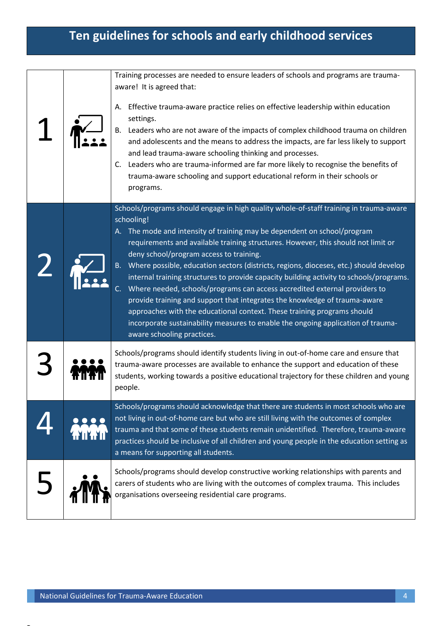## **Ten guidelines for schools and early childhood services**

|  | Training processes are needed to ensure leaders of schools and programs are trauma-<br>aware! It is agreed that:<br>Effective trauma-aware practice relies on effective leadership within education<br>А.<br>settings.<br>B. Leaders who are not aware of the impacts of complex childhood trauma on children<br>and adolescents and the means to address the impacts, are far less likely to support<br>and lead trauma-aware schooling thinking and processes.<br>Leaders who are trauma-informed are far more likely to recognise the benefits of<br>C.<br>trauma-aware schooling and support educational reform in their schools or<br>programs.                                                                                                                                                                                                          |
|--|---------------------------------------------------------------------------------------------------------------------------------------------------------------------------------------------------------------------------------------------------------------------------------------------------------------------------------------------------------------------------------------------------------------------------------------------------------------------------------------------------------------------------------------------------------------------------------------------------------------------------------------------------------------------------------------------------------------------------------------------------------------------------------------------------------------------------------------------------------------|
|  | Schools/programs should engage in high quality whole-of-staff training in trauma-aware<br>schooling!<br>A. The mode and intensity of training may be dependent on school/program<br>requirements and available training structures. However, this should not limit or<br>deny school/program access to training.<br>Where possible, education sectors (districts, regions, dioceses, etc.) should develop<br>internal training structures to provide capacity building activity to schools/programs.<br>Where needed, schools/programs can access accredited external providers to<br>provide training and support that integrates the knowledge of trauma-aware<br>approaches with the educational context. These training programs should<br>incorporate sustainability measures to enable the ongoing application of trauma-<br>aware schooling practices. |
|  | Schools/programs should identify students living in out-of-home care and ensure that<br>trauma-aware processes are available to enhance the support and education of these<br>students, working towards a positive educational trajectory for these children and young<br>people.                                                                                                                                                                                                                                                                                                                                                                                                                                                                                                                                                                             |
|  | Schools/programs should acknowledge that there are students in most schools who are<br>not living in out-of-home care but who are still living with the outcomes of complex<br>trauma and that some of these students remain unidentified. Therefore, trauma-aware<br>practices should be inclusive of all children and young people in the education setting as<br>a means for supporting all students.                                                                                                                                                                                                                                                                                                                                                                                                                                                      |
|  | Schools/programs should develop constructive working relationships with parents and<br>carers of students who are living with the outcomes of complex trauma. This includes<br>organisations overseeing residential care programs.                                                                                                                                                                                                                                                                                                                                                                                                                                                                                                                                                                                                                            |

 $\overline{\phantom{a}}$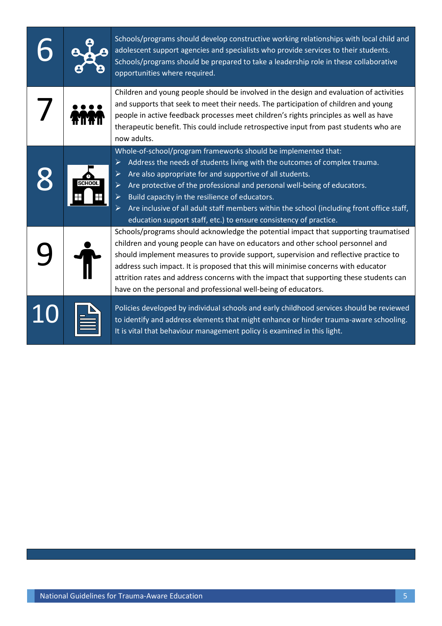|  | Schools/programs should develop constructive working relationships with local child and<br>adolescent support agencies and specialists who provide services to their students.<br>Schools/programs should be prepared to take a leadership role in these collaborative<br>opportunities where required.                                                                                                                                                                                                                                    |
|--|--------------------------------------------------------------------------------------------------------------------------------------------------------------------------------------------------------------------------------------------------------------------------------------------------------------------------------------------------------------------------------------------------------------------------------------------------------------------------------------------------------------------------------------------|
|  | Children and young people should be involved in the design and evaluation of activities<br>and supports that seek to meet their needs. The participation of children and young<br>people in active feedback processes meet children's rights principles as well as have<br>therapeutic benefit. This could include retrospective input from past students who are<br>now adults.                                                                                                                                                           |
|  | Whole-of-school/program frameworks should be implemented that:<br>Address the needs of students living with the outcomes of complex trauma.<br>≻<br>Are also appropriate for and supportive of all students.<br>➤<br>Are protective of the professional and personal well-being of educators.<br>Build capacity in the resilience of educators.<br>$\blacktriangleright$<br>Are inclusive of all adult staff members within the school (including front office staff,<br>education support staff, etc.) to ensure consistency of practice. |
|  | Schools/programs should acknowledge the potential impact that supporting traumatised<br>children and young people can have on educators and other school personnel and<br>should implement measures to provide support, supervision and reflective practice to<br>address such impact. It is proposed that this will minimise concerns with educator<br>attrition rates and address concerns with the impact that supporting these students can<br>have on the personal and professional well-being of educators.                          |
|  | Policies developed by individual schools and early childhood services should be reviewed<br>to identify and address elements that might enhance or hinder trauma-aware schooling.<br>It is vital that behaviour management policy is examined in this light.                                                                                                                                                                                                                                                                               |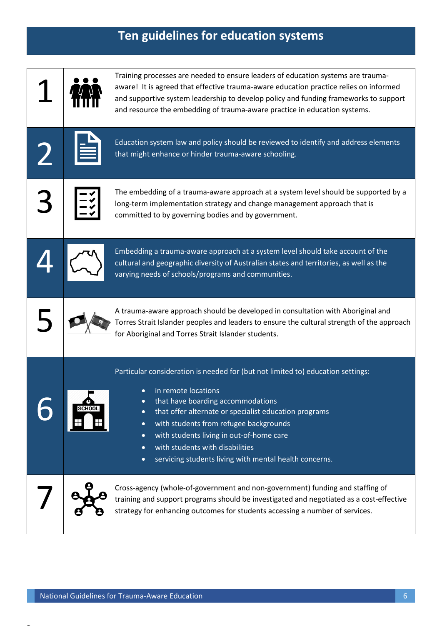# **Ten guidelines for education systems**

|  | Training processes are needed to ensure leaders of education systems are trauma-<br>aware! It is agreed that effective trauma-aware education practice relies on informed<br>and supportive system leadership to develop policy and funding frameworks to support<br>and resource the embedding of trauma-aware practice in education systems.                                                                                                           |
|--|----------------------------------------------------------------------------------------------------------------------------------------------------------------------------------------------------------------------------------------------------------------------------------------------------------------------------------------------------------------------------------------------------------------------------------------------------------|
|  | Education system law and policy should be reviewed to identify and address elements<br>that might enhance or hinder trauma-aware schooling.                                                                                                                                                                                                                                                                                                              |
|  | The embedding of a trauma-aware approach at a system level should be supported by a<br>long-term implementation strategy and change management approach that is<br>committed to by governing bodies and by government.                                                                                                                                                                                                                                   |
|  | Embedding a trauma-aware approach at a system level should take account of the<br>cultural and geographic diversity of Australian states and territories, as well as the<br>varying needs of schools/programs and communities.                                                                                                                                                                                                                           |
|  | A trauma-aware approach should be developed in consultation with Aboriginal and<br>Torres Strait Islander peoples and leaders to ensure the cultural strength of the approach<br>for Aboriginal and Torres Strait Islander students.                                                                                                                                                                                                                     |
|  | Particular consideration is needed for (but not limited to) education settings:<br>in remote locations<br>that have boarding accommodations<br>$\bullet$<br>that offer alternate or specialist education programs<br>with students from refugee backgrounds<br>$\bullet$<br>with students living in out-of-home care<br>$\bullet$<br>with students with disabilities<br>$\bullet$<br>servicing students living with mental health concerns.<br>$\bullet$ |
|  | Cross-agency (whole-of-government and non-government) funding and staffing of<br>training and support programs should be investigated and negotiated as a cost-effective<br>strategy for enhancing outcomes for students accessing a number of services.                                                                                                                                                                                                 |

 $\overline{\phantom{a}}$